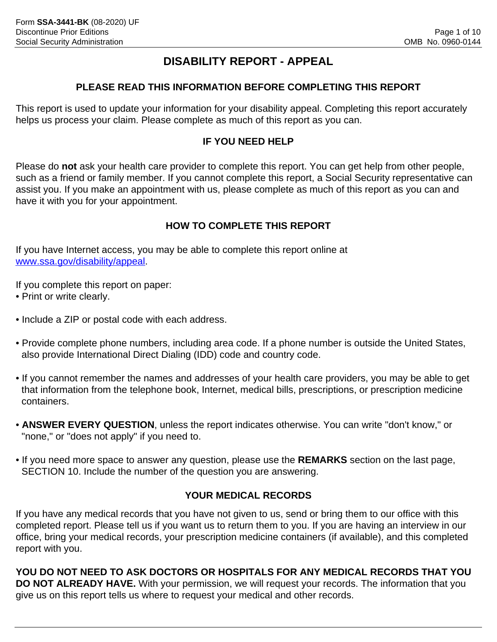# **DISABILITY REPORT - APPEAL**

# **PLEASE READ THIS INFORMATION BEFORE COMPLETING THIS REPORT**

This report is used to update your information for your disability appeal. Completing this report accurately helps us process your claim. Please complete as much of this report as you can.

# **IF YOU NEED HELP**

Please do **not** ask your health care provider to complete this report. You can get help from other people, such as a friend or family member. If you cannot complete this report, a Social Security representative can assist you. If you make an appointment with us, please complete as much of this report as you can and have it with you for your appointment.

# **HOW TO COMPLETE THIS REPORT**

If you have Internet access, you may be able to complete this report online at [www.ssa.gov/disability/appeal.](www.ssa.gov/disability/appeal)

If you complete this report on paper:

- Print or write clearly.
- Include a ZIP or postal code with each address.
- Provide complete phone numbers, including area code. If a phone number is outside the United States, also provide International Direct Dialing (IDD) code and country code.
- If you cannot remember the names and addresses of your health care providers, you may be able to get that information from the telephone book, Internet, medical bills, prescriptions, or prescription medicine containers.
- **ANSWER EVERY QUESTION**, unless the report indicates otherwise. You can write "don't know," or "none," or "does not apply" if you need to.
- If you need more space to answer any question, please use the **REMARKS** section on the last page, SECTION 10. Include the number of the question you are answering.

# **YOUR MEDICAL RECORDS**

If you have any medical records that you have not given to us, send or bring them to our office with this completed report. Please tell us if you want us to return them to you. If you are having an interview in our office, bring your medical records, your prescription medicine containers (if available), and this completed report with you.

**YOU DO NOT NEED TO ASK DOCTORS OR HOSPITALS FOR ANY MEDICAL RECORDS THAT YOU DO NOT ALREADY HAVE.** With your permission, we will request your records. The information that you give us on this report tells us where to request your medical and other records.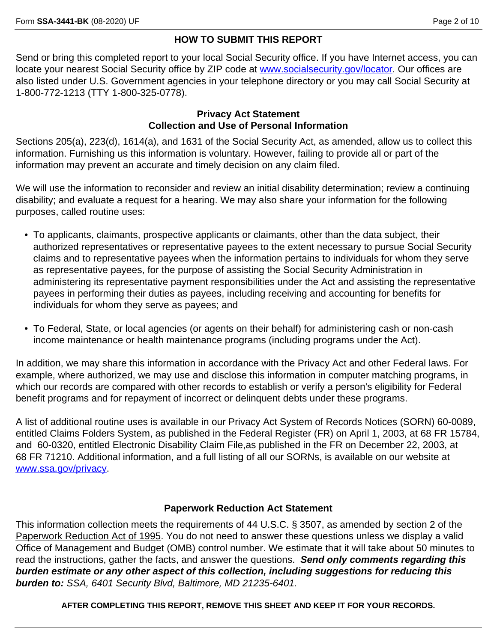## **HOW TO SUBMIT THIS REPORT**

Send or bring this completed report to your local Social Security office. If you have Internet access, you can locate your nearest Social Security office by ZIP code at [www.socialsecurity.gov/locator.](www.socialsecurity.gov/locator) Our offices are also listed under U.S. Government agencies in your telephone directory or you may call Social Security at 1-800-772-1213 (TTY 1-800-325-0778).

### **Privacy Act Statement Collection and Use of Personal Information**

Sections 205(a), 223(d), 1614(a), and 1631 of the Social Security Act, as amended, allow us to collect this information. Furnishing us this information is voluntary. However, failing to provide all or part of the information may prevent an accurate and timely decision on any claim filed.

We will use the information to reconsider and review an initial disability determination; review a continuing disability; and evaluate a request for a hearing. We may also share your information for the following purposes, called routine uses:

- To applicants, claimants, prospective applicants or claimants, other than the data subject, their authorized representatives or representative payees to the extent necessary to pursue Social Security claims and to representative payees when the information pertains to individuals for whom they serve as representative payees, for the purpose of assisting the Social Security Administration in administering its representative payment responsibilities under the Act and assisting the representative payees in performing their duties as payees, including receiving and accounting for benefits for individuals for whom they serve as payees; and
- To Federal, State, or local agencies (or agents on their behalf) for administering cash or non-cash income maintenance or health maintenance programs (including programs under the Act).

In addition, we may share this information in accordance with the Privacy Act and other Federal laws. For example, where authorized, we may use and disclose this information in computer matching programs, in which our records are compared with other records to establish or verify a person's eligibility for Federal benefit programs and for repayment of incorrect or delinquent debts under these programs.

A list of additional routine uses is available in our Privacy Act System of Records Notices (SORN) 60-0089, entitled Claims Folders System, as published in the Federal Register (FR) on April 1, 2003, at 68 FR 15784, and 60-0320, entitled Electronic Disability Claim File,as published in the FR on December 22, 2003, at 68 FR 71210. Additional information, and a full listing of all our SORNs, is available on our website at <www.ssa.gov/privacy>.

# **Paperwork Reduction Act Statement**

This information collection meets the requirements of 44 U.S.C. § 3507, as amended by section 2 of the Paperwork Reduction Act of 1995. You do not need to answer these questions unless we display a valid Office of Management and Budget (OMB) control number. We estimate that it will take about 50 minutes to read the instructions, gather the facts, and answer the questions. *Send only comments regarding this burden estimate or any other aspect of this collection, including suggestions for reducing this burden to: SSA, 6401 Security Blvd, Baltimore, MD 21235-6401.* 

**AFTER COMPLETING THIS REPORT, REMOVE THIS SHEET AND KEEP IT FOR YOUR RECORDS.**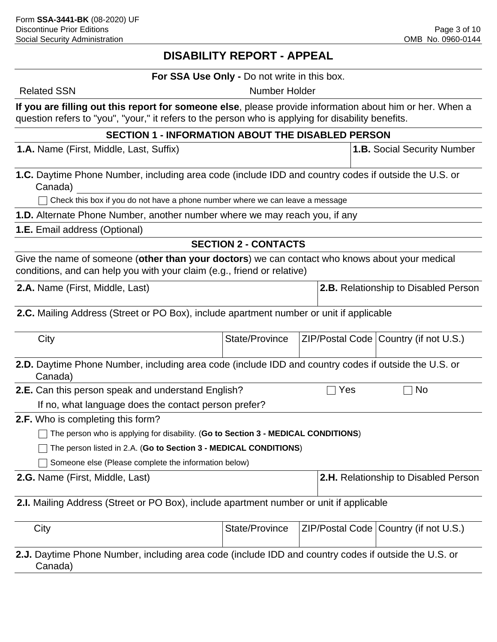# **DISABILITY REPORT - APPEAL**

#### **For SSA Use Only -** Do not write in this box.

Related SSN Number Holder

**If you are filling out this report for someone else**, please provide information about him or her. When a question refers to "you", "your," it refers to the person who is applying for disability benefits.

### **SECTION 1 - INFORMATION ABOUT THE DISABLED PERSON**

**1.A.** Name (First, Middle, Last, Suffix) **1.B.** Social Security Number

**1.C.** Daytime Phone Number, including area code (include IDD and country codes if outside the U.S. or Canada)

 $\Box$  Check this box if you do not have a phone number where we can leave a message

**1.D.** Alternate Phone Number, another number where we may reach you, if any

**1.E.** Email address (Optional)

## **SECTION 2 - CONTACTS**

Give the name of someone (**other than your doctors**) we can contact who knows about your medical conditions, and can help you with your claim (e.g., friend or relative)

**2.A.** Name (First, Middle, Last) **2.B.** Relationship to Disabled Person

**2.C.** Mailing Address (Street or PO Box), include apartment number or unit if applicable

| City                                                                                                                   | State/Province |     | ZIP/Postal Code   Country (if not U.S.) |  |  |  |  |  |  |
|------------------------------------------------------------------------------------------------------------------------|----------------|-----|-----------------------------------------|--|--|--|--|--|--|
| <b>2.D.</b> Daytime Phone Number, including area code (include IDD and country codes if outside the U.S. or<br>Canada) |                |     |                                         |  |  |  |  |  |  |
| <b>2.E.</b> Can this person speak and understand English?                                                              |                | Yes | No.                                     |  |  |  |  |  |  |
| If no, what language does the contact person prefer?                                                                   |                |     |                                         |  |  |  |  |  |  |
| <b>2.F.</b> Who is completing this form?                                                                               |                |     |                                         |  |  |  |  |  |  |
| The person who is applying for disability. (Go to Section 3 - MEDICAL CONDITIONS)                                      |                |     |                                         |  |  |  |  |  |  |
| The person listed in 2.A. (Go to Section 3 - MEDICAL CONDITIONS)                                                       |                |     |                                         |  |  |  |  |  |  |
| Someone else (Please complete the information below)                                                                   |                |     |                                         |  |  |  |  |  |  |
| <b>2.H.</b> Relationship to Disabled Person<br><b>2.G.</b> Name (First, Middle, Last)                                  |                |     |                                         |  |  |  |  |  |  |
| <b>2.I.</b> Mailing Address (Street or PO Box), include apartment number or unit if applicable                         |                |     |                                         |  |  |  |  |  |  |
| City                                                                                                                   | State/Province |     | ZIP/Postal Code   Country (if not U.S.) |  |  |  |  |  |  |

**2.J.** Daytime Phone Number, including area code (include IDD and country codes if outside the U.S. or Canada)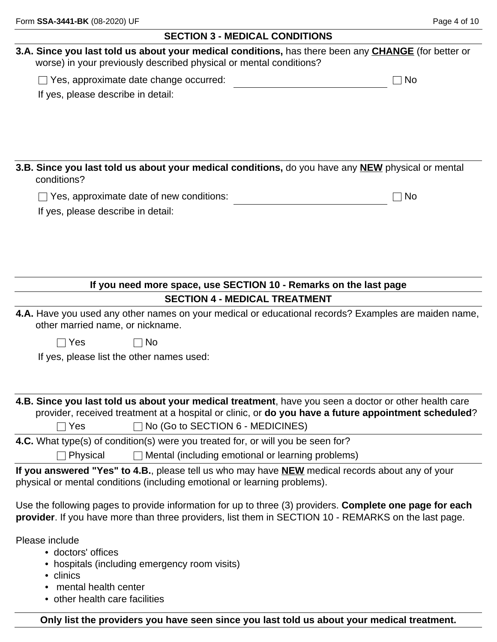| 3.A. Since you last told us about your medical conditions, has there been any CHANGE (for better or<br>worse) in your previously described physical or mental conditions?                                               |           |
|-------------------------------------------------------------------------------------------------------------------------------------------------------------------------------------------------------------------------|-----------|
| $\Box$ Yes, approximate date change occurred:                                                                                                                                                                           | <b>No</b> |
| If yes, please describe in detail:                                                                                                                                                                                      |           |
|                                                                                                                                                                                                                         |           |
|                                                                                                                                                                                                                         |           |
|                                                                                                                                                                                                                         |           |
|                                                                                                                                                                                                                         |           |
| 3.B. Since you last told us about your medical conditions, do you have any NEW physical or mental<br>conditions?                                                                                                        |           |
| $\Box$ Yes, approximate date of new conditions:                                                                                                                                                                         | <b>No</b> |
| If yes, please describe in detail:                                                                                                                                                                                      |           |
|                                                                                                                                                                                                                         |           |
|                                                                                                                                                                                                                         |           |
|                                                                                                                                                                                                                         |           |
|                                                                                                                                                                                                                         |           |
| If you need more space, use SECTION 10 - Remarks on the last page                                                                                                                                                       |           |
| <b>SECTION 4 - MEDICAL TREATMENT</b>                                                                                                                                                                                    |           |
| 4.A. Have you used any other names on your medical or educational records? Examples are maiden name,<br>other married name, or nickname.                                                                                |           |
| $\sqcap$ Yes<br>No                                                                                                                                                                                                      |           |
| If yes, please list the other names used:                                                                                                                                                                               |           |
|                                                                                                                                                                                                                         |           |
|                                                                                                                                                                                                                         |           |
| 4.B. Since you last told us about your medical treatment, have you seen a doctor or other health care                                                                                                                   |           |
| provider, received treatment at a hospital or clinic, or do you have a future appointment scheduled?                                                                                                                    |           |
| $\Box$ No (Go to SECTION 6 - MEDICINES)<br>Yes                                                                                                                                                                          |           |
| 4.C. What type(s) of condition(s) were you treated for, or will you be seen for?                                                                                                                                        |           |
| Mental (including emotional or learning problems)<br>Physical                                                                                                                                                           |           |
| If you answered "Yes" to 4.B., please tell us who may have NEW medical records about any of your<br>physical or mental conditions (including emotional or learning problems).                                           |           |
| Use the following pages to provide information for up to three (3) providers. <b>Complete one page for each</b><br>provider. If you have more than three providers, list them in SECTION 10 - REMARKS on the last page. |           |
| Please include<br>• doctors' offices<br>• hospitals (including emergency room visits)                                                                                                                                   |           |
| • clinics                                                                                                                                                                                                               |           |

- mental health center
- other health care facilities

**Only list the providers you have seen since you last told us about your medical treatment.**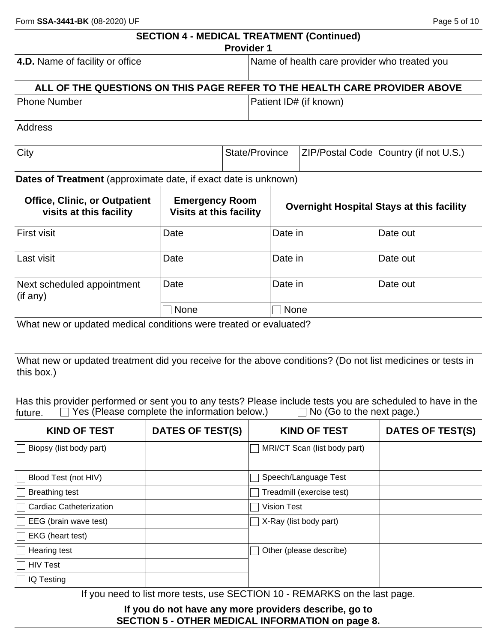|                                                                           | <b>SECTION 4 - MEDICAL TREATMENT (Continued)</b>        | <b>Provider 1</b> |                |                                              |                                                  |  |
|---------------------------------------------------------------------------|---------------------------------------------------------|-------------------|----------------|----------------------------------------------|--------------------------------------------------|--|
| 4.D. Name of facility or office                                           |                                                         |                   |                | Name of health care provider who treated you |                                                  |  |
| ALL OF THE QUESTIONS ON THIS PAGE REFER TO THE HEALTH CARE PROVIDER ABOVE |                                                         |                   |                |                                              |                                                  |  |
| <b>Phone Number</b>                                                       |                                                         |                   |                | Patient ID# (if known)                       |                                                  |  |
| <b>Address</b>                                                            |                                                         |                   |                |                                              |                                                  |  |
| City                                                                      |                                                         |                   | State/Province |                                              | ZIP/Postal Code   Country (if not U.S.)          |  |
| Dates of Treatment (approximate date, if exact date is unknown)           |                                                         |                   |                |                                              |                                                  |  |
| <b>Office, Clinic, or Outpatient</b><br>visits at this facility           | <b>Emergency Room</b><br><b>Visits at this facility</b> |                   |                |                                              | <b>Overnight Hospital Stays at this facility</b> |  |
| <b>First visit</b>                                                        | Date                                                    |                   | Date in        |                                              | Date out                                         |  |
| Last visit                                                                | Date                                                    |                   | Date in        |                                              | Date out                                         |  |
| Next scheduled appointment<br>(if any)                                    | Date                                                    |                   | Date in        |                                              | Date out                                         |  |
|                                                                           | <b>None</b>                                             |                   | <b>None</b>    |                                              |                                                  |  |
| What new or updated medical conditions were treated or evaluated?         |                                                         |                   |                |                                              |                                                  |  |

What new or updated treatment did you receive for the above conditions? (Do not list medicines or tests in this box.)

Has this provider performed or sent you to any tests? Please include tests you are scheduled to have in the future.  $\square$  Yes (Please complete the information below.)  $\square$  No (Go to the next page.)  $f$ uture.  $\Box$  Yes (Please complete the information below.)

| <b>KIND OF TEST</b>            | DATES OF TEST(S) | <b>KIND OF TEST</b>                                                        | DATES OF TEST(S) |
|--------------------------------|------------------|----------------------------------------------------------------------------|------------------|
| Biopsy (list body part)        |                  | MRI/CT Scan (list body part)                                               |                  |
|                                |                  |                                                                            |                  |
| Blood Test (not HIV)           |                  | Speech/Language Test                                                       |                  |
| <b>Breathing test</b>          |                  | Treadmill (exercise test)                                                  |                  |
| <b>Cardiac Catheterization</b> |                  | <b>Vision Test</b>                                                         |                  |
| EEG (brain wave test)          |                  | X-Ray (list body part)                                                     |                  |
| EKG (heart test)               |                  |                                                                            |                  |
| Hearing test                   |                  | Other (please describe)                                                    |                  |
| <b>HIV Test</b>                |                  |                                                                            |                  |
| IQ Testing                     |                  |                                                                            |                  |
|                                |                  | If you need to list more tests, use SECTION 10 - REMARKS on the last page. |                  |

**If you do not have any more providers describe, go to SECTION 5 - OTHER MEDICAL INFORMATION on page 8.**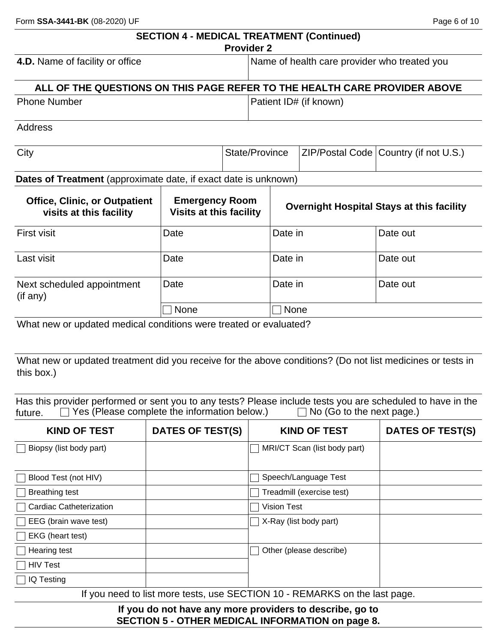|                                                                           |                                                         | <b>Provider 2</b> |                                              | <b>SECTION 4 - MEDICAL TREATMENT (Continued)</b> |                                                  |  |
|---------------------------------------------------------------------------|---------------------------------------------------------|-------------------|----------------------------------------------|--------------------------------------------------|--------------------------------------------------|--|
| 4.D. Name of facility or office                                           |                                                         |                   | Name of health care provider who treated you |                                                  |                                                  |  |
| ALL OF THE QUESTIONS ON THIS PAGE REFER TO THE HEALTH CARE PROVIDER ABOVE |                                                         |                   |                                              |                                                  |                                                  |  |
| <b>Phone Number</b>                                                       |                                                         |                   |                                              | Patient ID# (if known)                           |                                                  |  |
| Address                                                                   |                                                         |                   |                                              |                                                  |                                                  |  |
| City                                                                      |                                                         |                   | State/Province                               |                                                  | ZIP/Postal Code   Country (if not U.S.)          |  |
| Dates of Treatment (approximate date, if exact date is unknown)           |                                                         |                   |                                              |                                                  |                                                  |  |
| <b>Office, Clinic, or Outpatient</b><br>visits at this facility           | <b>Emergency Room</b><br><b>Visits at this facility</b> |                   |                                              |                                                  | <b>Overnight Hospital Stays at this facility</b> |  |
| <b>First visit</b>                                                        | Date                                                    |                   | Date in                                      |                                                  | Date out                                         |  |
| Last visit                                                                | Date                                                    |                   | Date in                                      |                                                  | Date out                                         |  |
| Next scheduled appointment<br>(if any)                                    | Date                                                    |                   | Date in                                      |                                                  | Date out                                         |  |
|                                                                           | None                                                    |                   | <b>None</b>                                  |                                                  |                                                  |  |
| What new or updated medical conditions were treated or evaluated?         |                                                         |                   |                                              |                                                  |                                                  |  |

What new or updated treatment did you receive for the above conditions? (Do not list medicines or tests in this box.)

Has this provider performed or sent you to any tests? Please include tests you are scheduled to have in the future.  $\square$  Yes (Please complete the information below.)  $\square$  No (Go to the next page.) Frace and provided porterlies of odin yes to any text particle in the future.  $\Box$  Yes (Please complete the information below.)

| <b>KIND OF TEST</b>            | DATES OF TEST(S) | <b>KIND OF TEST</b>                                                        | <b>DATES OF TEST(S)</b> |
|--------------------------------|------------------|----------------------------------------------------------------------------|-------------------------|
| Biopsy (list body part)        |                  | MRI/CT Scan (list body part)                                               |                         |
|                                |                  |                                                                            |                         |
| Blood Test (not HIV)           |                  | Speech/Language Test                                                       |                         |
| <b>Breathing test</b>          |                  | Treadmill (exercise test)                                                  |                         |
| <b>Cardiac Catheterization</b> |                  | <b>Vision Test</b>                                                         |                         |
| EEG (brain wave test)          |                  | X-Ray (list body part)                                                     |                         |
| EKG (heart test)               |                  |                                                                            |                         |
| Hearing test                   |                  | Other (please describe)                                                    |                         |
| <b>HIV Test</b>                |                  |                                                                            |                         |
| IQ Testing                     |                  |                                                                            |                         |
|                                |                  | If you need to list more tests, use SECTION 10 - REMARKS on the last page. |                         |

**If you do not have any more providers to describe, go to SECTION 5 - OTHER MEDICAL INFORMATION on page 8.**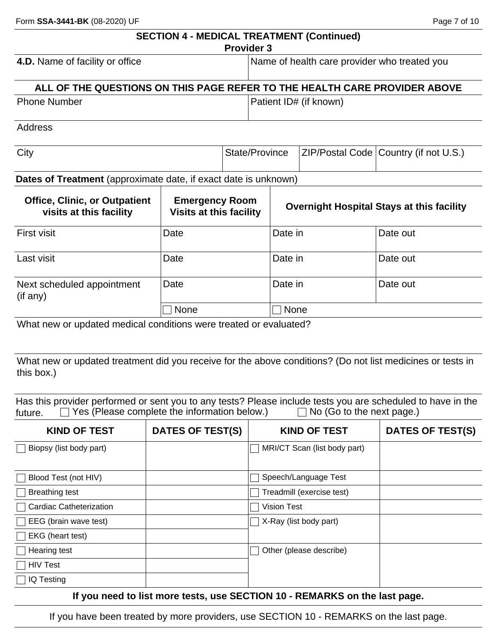|                                                                           | <b>SECTION 4 - MEDICAL TREATMENT (Continued)</b>        | <b>Provider 3</b>                            |                |                        |                                                  |  |
|---------------------------------------------------------------------------|---------------------------------------------------------|----------------------------------------------|----------------|------------------------|--------------------------------------------------|--|
| 4.D. Name of facility or office                                           |                                                         | Name of health care provider who treated you |                |                        |                                                  |  |
| ALL OF THE QUESTIONS ON THIS PAGE REFER TO THE HEALTH CARE PROVIDER ABOVE |                                                         |                                              |                |                        |                                                  |  |
| <b>Phone Number</b>                                                       |                                                         |                                              |                | Patient ID# (if known) |                                                  |  |
| Address                                                                   |                                                         |                                              |                |                        |                                                  |  |
| City                                                                      |                                                         |                                              | State/Province | ZIP/Postal Code        | Country (if not U.S.)                            |  |
| Dates of Treatment (approximate date, if exact date is unknown)           |                                                         |                                              |                |                        |                                                  |  |
| <b>Office, Clinic, or Outpatient</b><br>visits at this facility           | <b>Emergency Room</b><br><b>Visits at this facility</b> |                                              |                |                        | <b>Overnight Hospital Stays at this facility</b> |  |
| <b>First visit</b>                                                        | Date                                                    |                                              | Date in        |                        | Date out                                         |  |
| Last visit                                                                | Date                                                    |                                              | Date in        |                        | Date out                                         |  |
| Next scheduled appointment<br>(if any)                                    | Date                                                    |                                              | Date in        |                        | Date out                                         |  |
|                                                                           | None                                                    |                                              | <b>None</b>    |                        |                                                  |  |
| What new or updated medical conditions were treated or evaluated?         |                                                         |                                              |                |                        |                                                  |  |

What new or updated treatment did you receive for the above conditions? (Do not list medicines or tests in this box.)

Has this provider performed or sent you to any tests? Please include tests you are scheduled to have in the future.  $\square$  Yes (Please complete the information below.)  $\square$  No (Go to the next page.)  $\Box$  Yes (Please complete the information below.)

| <b>KIND OF TEST</b>                               | <b>DATES OF TEST(S)</b> | <b>KIND OF TEST</b>           | <b>DATES OF TEST(S)</b> |
|---------------------------------------------------|-------------------------|-------------------------------|-------------------------|
| Biopsy (list body part)                           |                         | MRI/CT Scan (list body part)  |                         |
|                                                   |                         |                               |                         |
| Blood Test (not HIV)                              |                         | Speech/Language Test          |                         |
| <b>Breathing test</b>                             |                         | Treadmill (exercise test)     |                         |
| <b>Cardiac Catheterization</b>                    |                         | <b>Vision Test</b>            |                         |
| $\Box$ EEG (brain wave test)                      |                         | $\Box$ X-Ray (list body part) |                         |
| EKG (heart test)                                  |                         |                               |                         |
| Hearing test                                      |                         | Other (please describe)       |                         |
| <b>HIV Test</b>                                   |                         |                               |                         |
| IQ Testing                                        |                         |                               |                         |
| lf concernance of the High concerns that the con- |                         | APATIAN JA                    |                         |

**If you need to list more tests, use SECTION 10 - REMARKS on the last page.**

If you have been treated by more providers, use SECTION 10 - REMARKS on the last page.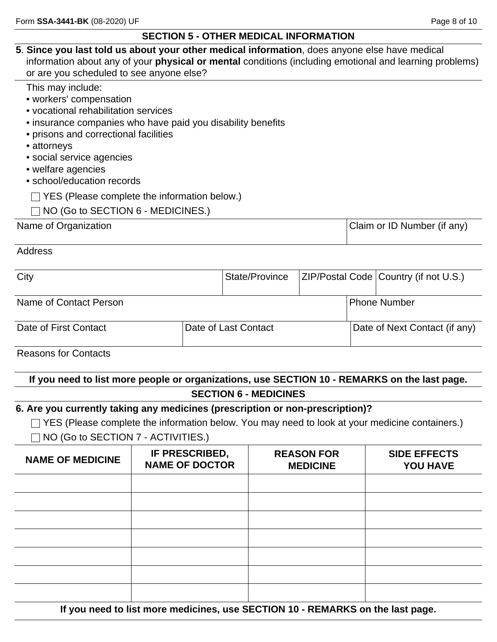## **SECTION 5 - OTHER MEDICAL INFORMATION**

| 5. Since you last told us about your other medical information, does anyone else have medical<br>information about any of your <b>physical or mental</b> conditions (including emotional and learning problems)<br>or are you scheduled to see anyone else?                                                                                                                       |  |                                                                                 |  |                              |  |                                         |                             |
|-----------------------------------------------------------------------------------------------------------------------------------------------------------------------------------------------------------------------------------------------------------------------------------------------------------------------------------------------------------------------------------|--|---------------------------------------------------------------------------------|--|------------------------------|--|-----------------------------------------|-----------------------------|
| This may include:<br>• workers' compensation<br>• vocational rehabilitation services<br>• insurance companies who have paid you disability benefits<br>• prisons and correctional facilities<br>• attorneys<br>· social service agencies<br>• welfare agencies<br>• school/education records<br>YES (Please complete the information below.)<br>NO (Go to SECTION 6 - MEDICINES.) |  |                                                                                 |  |                              |  |                                         |                             |
| Name of Organization                                                                                                                                                                                                                                                                                                                                                              |  |                                                                                 |  |                              |  |                                         | Claim or ID Number (if any) |
| <b>Address</b>                                                                                                                                                                                                                                                                                                                                                                    |  |                                                                                 |  |                              |  |                                         |                             |
| City<br>State/Province                                                                                                                                                                                                                                                                                                                                                            |  |                                                                                 |  |                              |  | ZIP/Postal Code   Country (if not U.S.) |                             |
| Name of Contact Person                                                                                                                                                                                                                                                                                                                                                            |  |                                                                                 |  |                              |  | <b>Phone Number</b>                     |                             |
| Date of First Contact                                                                                                                                                                                                                                                                                                                                                             |  | Date of Last Contact                                                            |  |                              |  | Date of Next Contact (if any)           |                             |
| <b>Reasons for Contacts</b>                                                                                                                                                                                                                                                                                                                                                       |  |                                                                                 |  |                              |  |                                         |                             |
| If you need to list more people or organizations, use SECTION 10 - REMARKS on the last page.                                                                                                                                                                                                                                                                                      |  |                                                                                 |  | <b>SECTION 6 - MEDICINES</b> |  |                                         |                             |
| 6. Are you currently taking any medicines (prescription or non-prescription)?<br>$\Box$ YES (Please complete the information below. You may need to look at your medicine containers.)<br>NO (Go to SECTION 7 - ACTIVITIES.)                                                                                                                                                      |  |                                                                                 |  |                              |  |                                         |                             |
| <b>NAME OF MEDICINE</b>                                                                                                                                                                                                                                                                                                                                                           |  | IF PRESCRIBED,<br><b>REASON FOR</b><br><b>NAME OF DOCTOR</b><br><b>MEDICINE</b> |  |                              |  | <b>SIDE EFFECTS</b><br><b>YOU HAVE</b>  |                             |
|                                                                                                                                                                                                                                                                                                                                                                                   |  |                                                                                 |  |                              |  |                                         |                             |
|                                                                                                                                                                                                                                                                                                                                                                                   |  |                                                                                 |  |                              |  |                                         |                             |

|  | If you need to list more medicines, use SECTION 10 - REMARKS on the last page. |  |
|--|--------------------------------------------------------------------------------|--|
|  |                                                                                |  |
|  |                                                                                |  |
|  |                                                                                |  |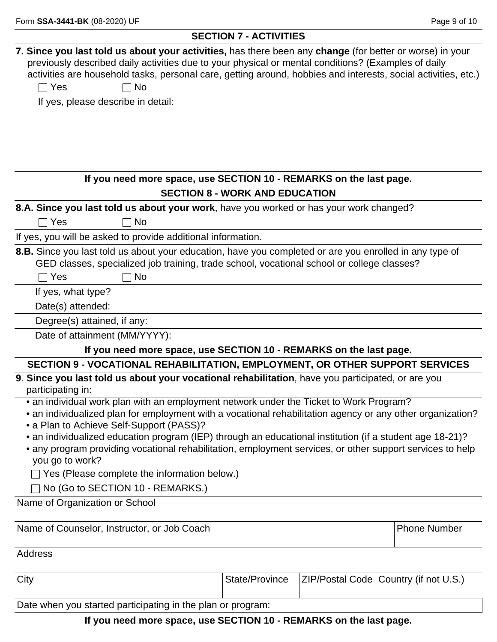### **SECTION 7 - ACTIVITIES**

| 7. Since you last told us about your activities, has there been any change (for better or worse) in your                                                                                                                  |                                       |                                         |
|---------------------------------------------------------------------------------------------------------------------------------------------------------------------------------------------------------------------------|---------------------------------------|-----------------------------------------|
| previously described daily activities due to your physical or mental conditions? (Examples of daily<br>activities are household tasks, personal care, getting around, hobbies and interests, social activities, etc.)     |                                       |                                         |
| $\Box$ Yes<br><b>No</b>                                                                                                                                                                                                   |                                       |                                         |
| If yes, please describe in detail:                                                                                                                                                                                        |                                       |                                         |
|                                                                                                                                                                                                                           |                                       |                                         |
|                                                                                                                                                                                                                           |                                       |                                         |
|                                                                                                                                                                                                                           |                                       |                                         |
|                                                                                                                                                                                                                           |                                       |                                         |
| If you need more space, use SECTION 10 - REMARKS on the last page.                                                                                                                                                        |                                       |                                         |
|                                                                                                                                                                                                                           | <b>SECTION 8 - WORK AND EDUCATION</b> |                                         |
| 8.A. Since you last told us about your work, have you worked or has your work changed?                                                                                                                                    |                                       |                                         |
| Yes<br><b>No</b>                                                                                                                                                                                                          |                                       |                                         |
| If yes, you will be asked to provide additional information.                                                                                                                                                              |                                       |                                         |
| 8.B. Since you last told us about your education, have you completed or are you enrolled in any type of<br>GED classes, specialized job training, trade school, vocational school or college classes?<br>Yes<br><b>No</b> |                                       |                                         |
| If yes, what type?                                                                                                                                                                                                        |                                       |                                         |
| Date(s) attended:                                                                                                                                                                                                         |                                       |                                         |
| Degree(s) attained, if any:                                                                                                                                                                                               |                                       |                                         |
| Date of attainment (MM/YYYY):                                                                                                                                                                                             |                                       |                                         |
| If you need more space, use SECTION 10 - REMARKS on the last page.                                                                                                                                                        |                                       |                                         |
| SECTION 9 - VOCATIONAL REHABILITATION, EMPLOYMENT, OR OTHER SUPPORT SERVICES                                                                                                                                              |                                       |                                         |
| 9. Since you last told us about your vocational rehabilitation, have you participated, or are you<br>participating in:                                                                                                    |                                       |                                         |
| • an individual work plan with an employment network under the Ticket to Work Program?                                                                                                                                    |                                       |                                         |
| • an individualized plan for employment with a vocational rehabilitation agency or any other organization?                                                                                                                |                                       |                                         |
| • a Plan to Achieve Self-Support (PASS)?<br>• an individualized education program (IEP) through an educational institution (if a student age 18-21)?                                                                      |                                       |                                         |
| • any program providing vocational rehabilitation, employment services, or other support services to help                                                                                                                 |                                       |                                         |
| you go to work?                                                                                                                                                                                                           |                                       |                                         |
| Yes (Please complete the information below.)                                                                                                                                                                              |                                       |                                         |
| No (Go to SECTION 10 - REMARKS.)                                                                                                                                                                                          |                                       |                                         |
| Name of Organization or School                                                                                                                                                                                            |                                       |                                         |
|                                                                                                                                                                                                                           |                                       |                                         |
| Name of Counselor, Instructor, or Job Coach                                                                                                                                                                               |                                       | <b>Phone Number</b>                     |
| <b>Address</b>                                                                                                                                                                                                            |                                       |                                         |
| City                                                                                                                                                                                                                      | State/Province                        | ZIP/Postal Code   Country (if not U.S.) |
| Date when you started participating in the plan or program:                                                                                                                                                               |                                       |                                         |

**If you need more space, use SECTION 10 - REMARKS on the last page.**